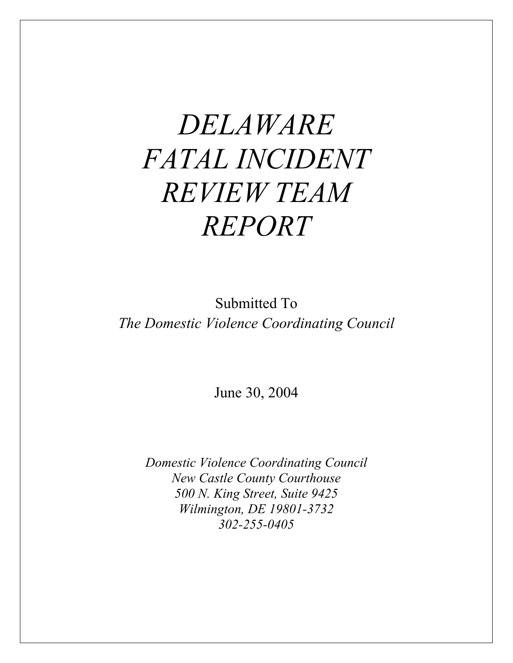# *DELAWARE FATAL INCIDENT REVIEW TEAM REPORT*

Submitted To *The Domestic Violence Coordinating Council* 

June 30, 2004

*Domestic Violence Coordinating Council New Castle County Courthouse 500 N. King Street, Suite 9425 Wilmington, DE 19801-3732 302-255-0405*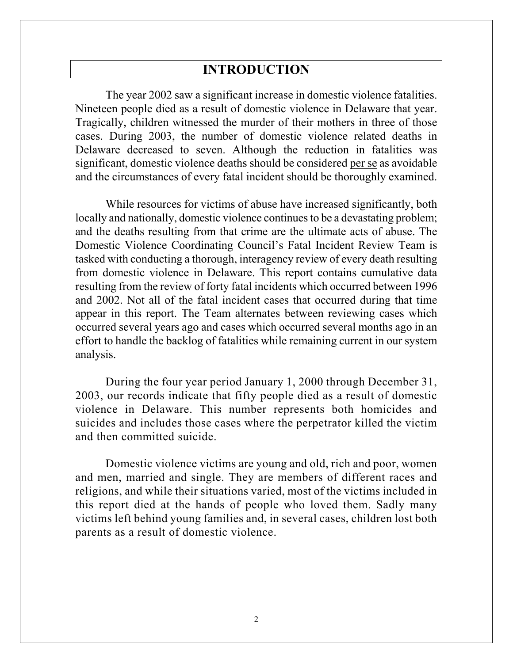# **INTRODUCTION**

The year 2002 saw a significant increase in domestic violence fatalities. Nineteen people died as a result of domestic violence in Delaware that year. Tragically, children witnessed the murder of their mothers in three of those cases. During 2003, the number of domestic violence related deaths in Delaware decreased to seven. Although the reduction in fatalities was significant, domestic violence deaths should be considered per se as avoidable and the circumstances of every fatal incident should be thoroughly examined.

While resources for victims of abuse have increased significantly, both locally and nationally, domestic violence continues to be a devastating problem; and the deaths resulting from that crime are the ultimate acts of abuse. The Domestic Violence Coordinating Council's Fatal Incident Review Team is tasked with conducting a thorough, interagency review of every death resulting from domestic violence in Delaware. This report contains cumulative data resulting from the review of forty fatal incidents which occurred between 1996 and 2002. Not all of the fatal incident cases that occurred during that time appear in this report. The Team alternates between reviewing cases which occurred several years ago and cases which occurred several months ago in an effort to handle the backlog of fatalities while remaining current in our system analysis.

During the four year period January 1, 2000 through December 31, 2003, our records indicate that fifty people died as a result of domestic violence in Delaware. This number represents both homicides and suicides and includes those cases where the perpetrator killed the victim and then committed suicide.

Domestic violence victims are young and old, rich and poor, women and men, married and single. They are members of different races and religions, and while their situations varied, most of the victims included in this report died at the hands of people who loved them. Sadly many victims left behind young families and, in several cases, children lost both parents as a result of domestic violence.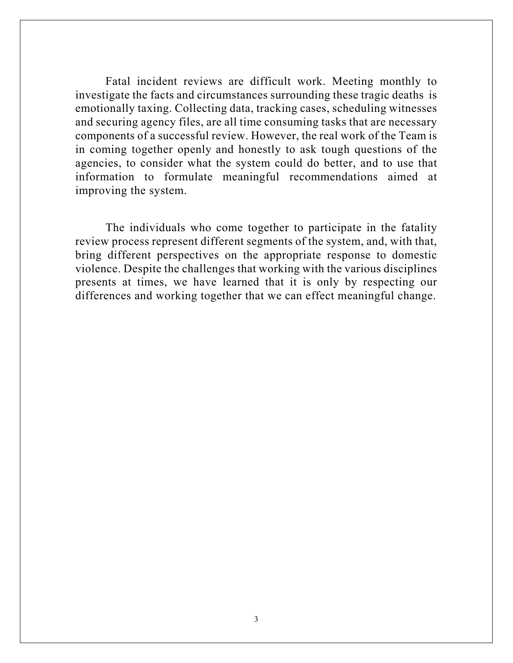Fatal incident reviews are difficult work. Meeting monthly to investigate the facts and circumstances surrounding these tragic deaths is emotionally taxing. Collecting data, tracking cases, scheduling witnesses and securing agency files, are all time consuming tasks that are necessary components of a successful review. However, the real work of the Team is in coming together openly and honestly to ask tough questions of the agencies, to consider what the system could do better, and to use that information to formulate meaningful recommendations aimed at improving the system.

The individuals who come together to participate in the fatality review process represent different segments of the system, and, with that, bring different perspectives on the appropriate response to domestic violence. Despite the challenges that working with the various disciplines presents at times, we have learned that it is only by respecting our differences and working together that we can effect meaningful change.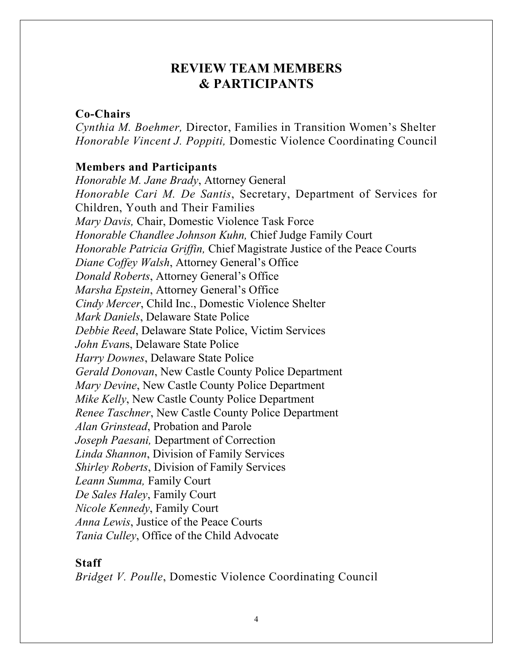# **REVIEW TEAM MEMBERS & PARTICIPANTS**

## **Co-Chairs**

*Cynthia M. Boehmer,* Director, Families in Transition Women's Shelter *Honorable Vincent J. Poppiti,* Domestic Violence Coordinating Council

## **Members and Participants**

*Honorable M. Jane Brady*, Attorney General *Honorable Cari M. De Santis*, Secretary, Department of Services for Children, Youth and Their Families *Mary Davis,* Chair, Domestic Violence Task Force *Honorable Chandlee Johnson Kuhn,* Chief Judge Family Court *Honorable Patricia Griffin,* Chief Magistrate Justice of the Peace Courts *Diane Coffey Walsh*, Attorney General's Office *Donald Roberts*, Attorney General's Office *Marsha Epstein*, Attorney General's Office *Cindy Mercer*, Child Inc., Domestic Violence Shelter *Mark Daniels*, Delaware State Police *Debbie Reed*, Delaware State Police, Victim Services *John Evan*s, Delaware State Police *Harry Downes*, Delaware State Police *Gerald Donovan*, New Castle County Police Department *Mary Devine*, New Castle County Police Department *Mike Kelly*, New Castle County Police Department *Renee Taschner*, New Castle County Police Department *Alan Grinstead*, Probation and Parole *Joseph Paesani,* Department of Correction *Linda Shannon*, Division of Family Services *Shirley Roberts*, Division of Family Services *Leann Summa,* Family Court *De Sales Haley*, Family Court *Nicole Kennedy*, Family Court *Anna Lewis*, Justice of the Peace Courts *Tania Culley*, Office of the Child Advocate

# **Staff**

*Bridget V. Poulle*, Domestic Violence Coordinating Council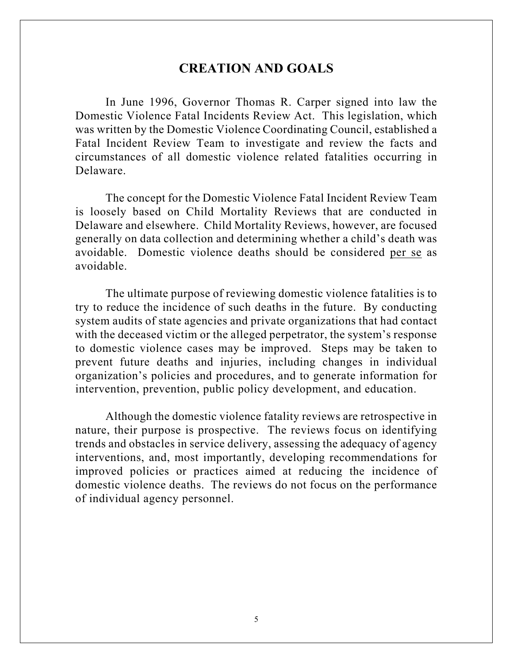# **CREATION AND GOALS**

In June 1996, Governor Thomas R. Carper signed into law the Domestic Violence Fatal Incidents Review Act. This legislation, which was written by the Domestic Violence Coordinating Council, established a Fatal Incident Review Team to investigate and review the facts and circumstances of all domestic violence related fatalities occurring in Delaware.

The concept for the Domestic Violence Fatal Incident Review Team is loosely based on Child Mortality Reviews that are conducted in Delaware and elsewhere. Child Mortality Reviews, however, are focused generally on data collection and determining whether a child's death was avoidable. Domestic violence deaths should be considered per se as avoidable.

The ultimate purpose of reviewing domestic violence fatalities is to try to reduce the incidence of such deaths in the future. By conducting system audits of state agencies and private organizations that had contact with the deceased victim or the alleged perpetrator, the system's response to domestic violence cases may be improved. Steps may be taken to prevent future deaths and injuries, including changes in individual organization's policies and procedures, and to generate information for intervention, prevention, public policy development, and education.

Although the domestic violence fatality reviews are retrospective in nature, their purpose is prospective. The reviews focus on identifying trends and obstacles in service delivery, assessing the adequacy of agency interventions, and, most importantly, developing recommendations for improved policies or practices aimed at reducing the incidence of domestic violence deaths. The reviews do not focus on the performance of individual agency personnel.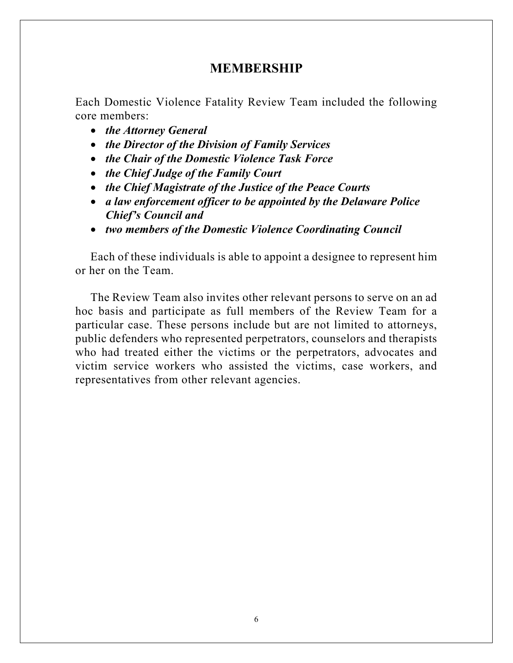# **MEMBERSHIP**

Each Domestic Violence Fatality Review Team included the following core members:

- *the Attorney General*
- *the Director of the Division of Family Services*
- *the Chair of the Domestic Violence Task Force*
- *the Chief Judge of the Family Court*
- *the Chief Magistrate of the Justice of the Peace Courts*
- *a law enforcement officer to be appointed by the Delaware Police Chief's Council and*
- *two members of the Domestic Violence Coordinating Council*

Each of these individuals is able to appoint a designee to represent him or her on the Team.

The Review Team also invites other relevant persons to serve on an ad hoc basis and participate as full members of the Review Team for a particular case. These persons include but are not limited to attorneys, public defenders who represented perpetrators, counselors and therapists who had treated either the victims or the perpetrators, advocates and victim service workers who assisted the victims, case workers, and representatives from other relevant agencies.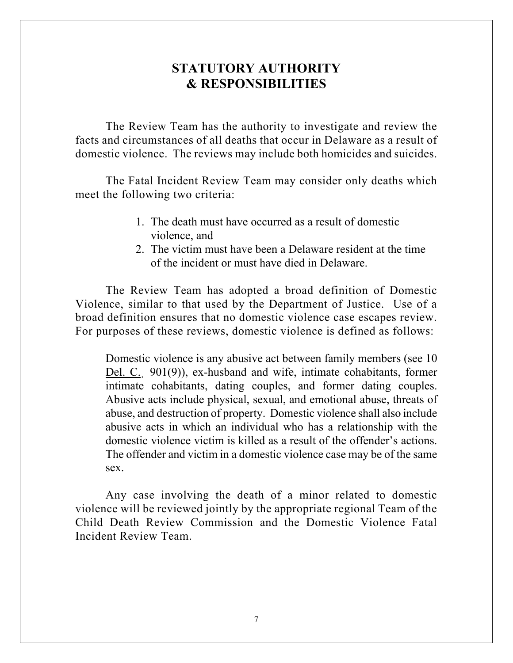# **STATUTORY AUTHORITY & RESPONSIBILITIES**

The Review Team has the authority to investigate and review the facts and circumstances of all deaths that occur in Delaware as a result of domestic violence. The reviews may include both homicides and suicides.

The Fatal Incident Review Team may consider only deaths which meet the following two criteria:

- 1. The death must have occurred as a result of domestic violence, and
- 2. The victim must have been a Delaware resident at the time of the incident or must have died in Delaware.

The Review Team has adopted a broad definition of Domestic Violence, similar to that used by the Department of Justice. Use of a broad definition ensures that no domestic violence case escapes review. For purposes of these reviews, domestic violence is defined as follows:

Domestic violence is any abusive act between family members (see 10 Del. C. 901(9)), ex-husband and wife, intimate cohabitants, former intimate cohabitants, dating couples, and former dating couples. Abusive acts include physical, sexual, and emotional abuse, threats of abuse, and destruction of property. Domestic violence shall also include abusive acts in which an individual who has a relationship with the domestic violence victim is killed as a result of the offender's actions. The offender and victim in a domestic violence case may be of the same sex.

Any case involving the death of a minor related to domestic violence will be reviewed jointly by the appropriate regional Team of the Child Death Review Commission and the Domestic Violence Fatal Incident Review Team.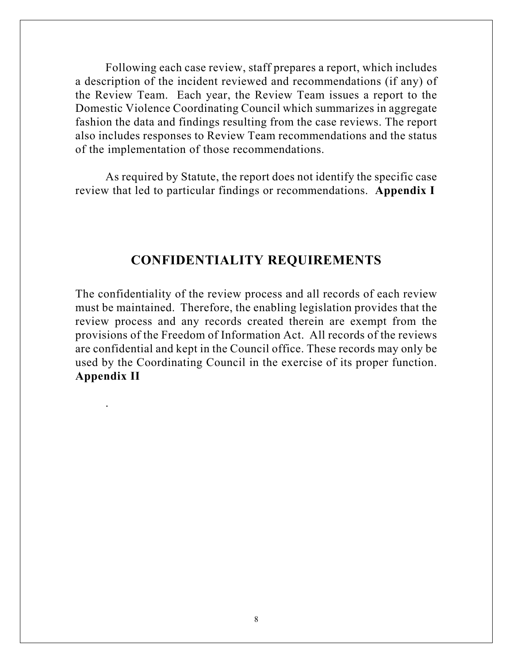Following each case review, staff prepares a report, which includes a description of the incident reviewed and recommendations (if any) of the Review Team. Each year, the Review Team issues a report to the Domestic Violence Coordinating Council which summarizes in aggregate fashion the data and findings resulting from the case reviews. The report also includes responses to Review Team recommendations and the status of the implementation of those recommendations.

As required by Statute, the report does not identify the specific case review that led to particular findings or recommendations. **Appendix I** 

# **CONFIDENTIALITY REQUIREMENTS**

The confidentiality of the review process and all records of each review must be maintained. Therefore, the enabling legislation provides that the review process and any records created therein are exempt from the provisions of the Freedom of Information Act. All records of the reviews are confidential and kept in the Council office. These records may only be used by the Coordinating Council in the exercise of its proper function. **Appendix II**

.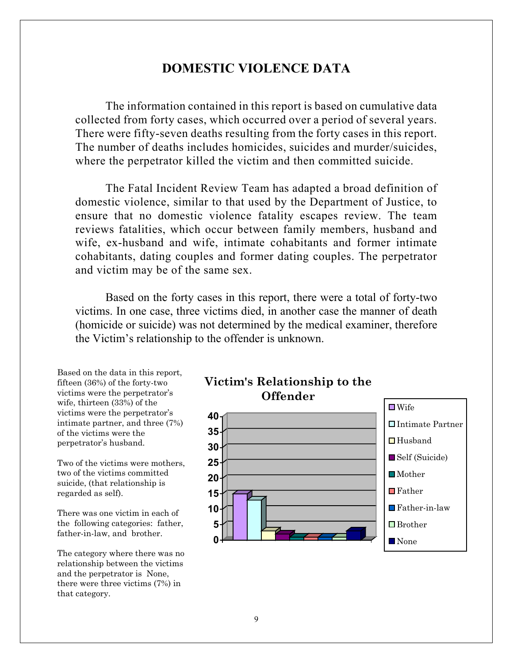# **DOMESTIC VIOLENCE DATA**

The information contained in this report is based on cumulative data collected from forty cases, which occurred over a period of several years. There were fifty-seven deaths resulting from the forty cases in this report. The number of deaths includes homicides, suicides and murder/suicides, where the perpetrator killed the victim and then committed suicide.

The Fatal Incident Review Team has adapted a broad definition of domestic violence, similar to that used by the Department of Justice, to ensure that no domestic violence fatality escapes review. The team reviews fatalities, which occur between family members, husband and wife, ex-husband and wife, intimate cohabitants and former intimate cohabitants, dating couples and former dating couples. The perpetrator and victim may be of the same sex.

 Based on the forty cases in this report, there were a total of forty-two victims. In one case, three victims died, in another case the manner of death (homicide or suicide) was not determined by the medical examiner, therefore the Victim's relationship to the offender is unknown.

Based on the data in this report, fifteen (36%) of the forty-two victims were the perpetrator's wife, thirteen (33%) of the victims were the perpetrator's intimate partner, and three (7%) of the victims were the perpetrator's husband.

Two of the victims were mothers, two of the victims committed suicide, (that relationship is regarded as self).

There was one victim in each of the following categories: father, father-in-law, and brother.

The category where there was no relationship between the victims and the perpetrator is None, there were three victims (7%) in that category.



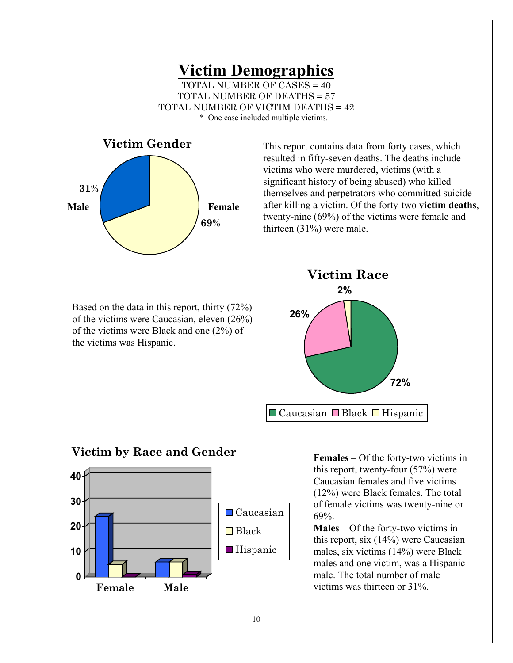#### **Victim Demographics** TOTAL NUMBER OF CASES = 40 TOTAL NUMBER OF DEATHS = 57 TOTAL NUMBER OF VICTIM DEATHS = 42 \* One case included multiple victims.



This report contains data from forty cases, which resulted in fifty-seven deaths. The deaths include victims who were murdered, victims (with a significant history of being abused) who killed themselves and perpetrators who committed suicide after killing a victim. Of the forty-two **victim deaths**, twenty-nine (69%) of the victims were female and thirteen (31%) were male.

Based on the data in this report, thirty (72%) of the victims were Caucasian, eleven (26%) of the victims were Black and one (2%) of the victims was Hispanic.



# **Victim by Race and Gender**



**Females** – Of the forty-two victims in this report, twenty-four (57%) were Caucasian females and five victims (12%) were Black females. The total of female victims was twenty-nine or 69%.

**Males** – Of the forty-two victims in this report, six (14%) were Caucasian males, six victims (14%) were Black males and one victim, was a Hispanic male. The total number of male victims was thirteen or 31%.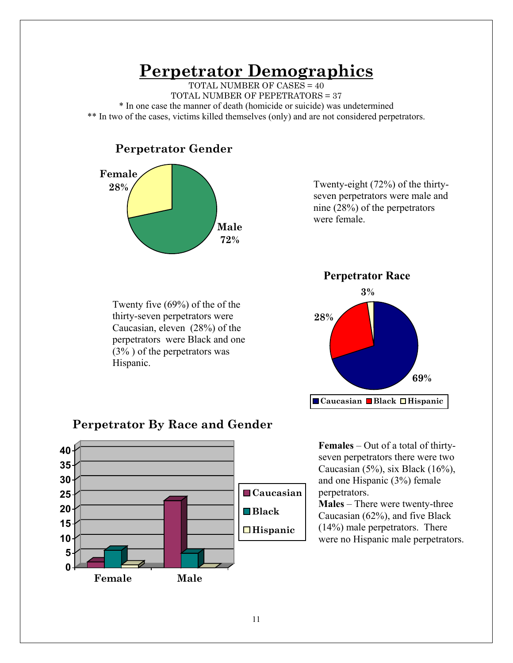# **Perpetrator Demographics**

TOTAL NUMBER OF CASES = 40 TOTAL NUMBER OF PEPETRATORS = 37 \* In one case the manner of death (homicide or suicide) was undetermined \*\* In two of the cases, victims killed themselves (only) and are not considered perpetrators.

# **Perpetrator Gender**



Twenty-eight (72%) of the thirtyseven perpetrators were male and nine (28%) of the perpetrators were female.

Twenty five (69%) of the of the thirty-seven perpetrators were Caucasian, eleven (28%) of the perpetrators were Black and one (3% ) of the perpetrators was Hispanic.



# **Perpetrator By Race and Gender**



**Females** – Out of a total of thirtyseven perpetrators there were two Caucasian (5%), six Black (16%), and one Hispanic (3%) female perpetrators.

**Males** – There were twenty-three Caucasian (62%), and five Black (14%) male perpetrators. There were no Hispanic male perpetrators.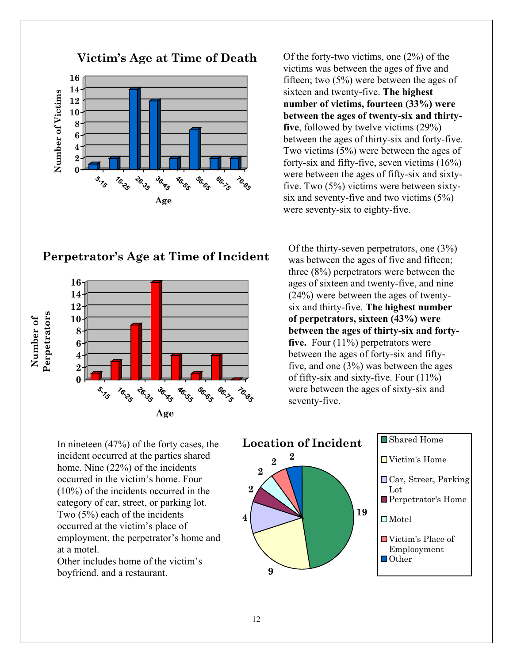

**Perpetrator's Age at**  fifteen; two (5%) were between the ages of sixteen and twenty-five. The highest Of the forty-two victims, one (2%) of the victims was between the ages of five and **number of victims, fourteen (33%) were between the ages of twenty-six and thirtyfive**, followed by twelve victims (29%) between the ages of thirty-six and forty-five. Two victims (5%) were between the ages of forty-six and fifty-five, seven victims (16%) were between the ages of fifty-six and sixtyfive. Two (5%) victims were between sixty-

six and seventy-five and two victims (5%) were seventy-six to eighty-five. Of the thirty-seven perpetrators, one (3%) was between the ages of five and fifteen; three (8%) perpetrators were between the ages of sixteen and twenty-five, and nine (24%) were between the ages of twentysix and thirty-five. **The highest number of perpetrators, sixteen (43%) were** 

**between the ages of thirty-six and fortyfive.** Four (11%) perpetrators were between the ages of forty-six and fiftyfive, and one (3%) was between the ages of fifty-six and sixty-five. Four (11%) were between the ages of sixty-six and seventy-five.



# **Perpetrator's Age at Time of Incident**



at a motel.

**Victim's Age at Time of Death**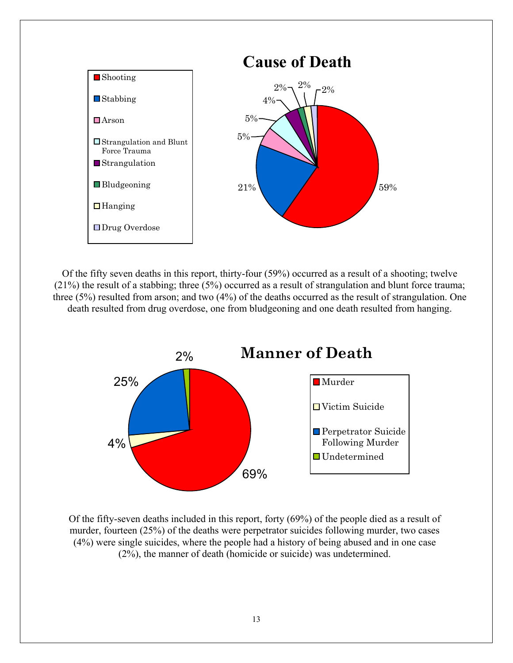

 $\mathbf{1}$  Of the fifty seven deaths in this report, thirty-four (59%) occurred as a result of a shooting; twelve (21%) the result of a stabbing; three (5%) occurred as a result of strangulation and blunt force trauma; three (5%) resulted from arson; and two (4%) of the deaths occurred as the result of strangulation. One death resulted from drug overdose, one from bludgeoning and one death resulted from hanging.



 Of the fifty-seven deaths included in this report, forty (69%) of the people died as a result of murder, fourteen (25%) of the deaths were perpetrator suicides following murder, two cases (4%) were single suicides, where the people had a history of being abused and in one case (2%), the manner of death (homicide or suicide) was undetermined.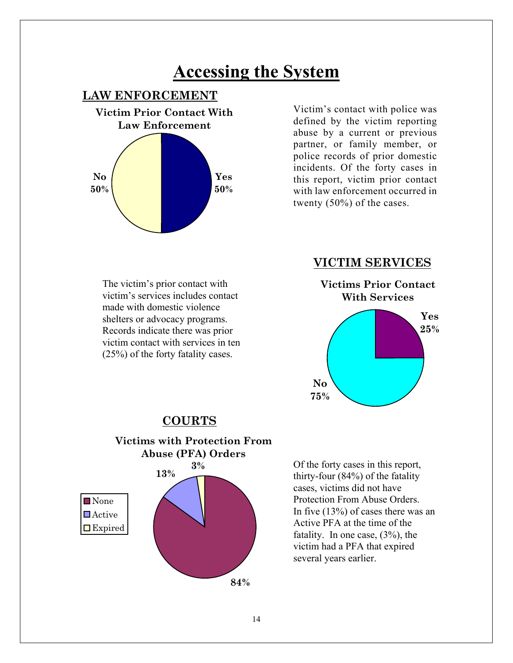# **Accessing the System**

# **LAW ENFORCEMENT**



Victim's contact with police was defined by the victim reporting abuse by a current or previous partner, or family member, or police records of prior domestic incidents. Of the forty cases in this report, victim prior contact with law enforcement occurred in twenty (50%) of the cases.

The victim's prior contact with victim's services includes contact made with domestic violence shelters or advocacy programs. Records indicate there was prior victim contact with services in ten (25%) of the forty fatality cases.

#### **VICTIM SERVICES**



# **COURTS**



Of the forty cases in this report, thirty-four (84%) of the fatality cases, victims did not have Protection From Abuse Orders. In five (13%) of cases there was an Active PFA at the time of the fatality. In one case, (3%), the victim had a PFA that expired several years earlier.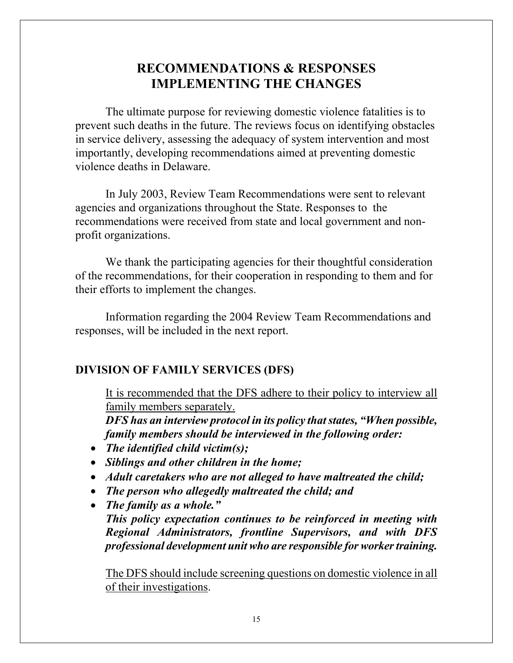# **RECOMMENDATIONS & RESPONSES IMPLEMENTING THE CHANGES**

The ultimate purpose for reviewing domestic violence fatalities is to prevent such deaths in the future. The reviews focus on identifying obstacles in service delivery, assessing the adequacy of system intervention and most importantly, developing recommendations aimed at preventing domestic violence deaths in Delaware.

In July 2003, Review Team Recommendations were sent to relevant agencies and organizations throughout the State. Responses to the recommendations were received from state and local government and nonprofit organizations.

We thank the participating agencies for their thoughtful consideration of the recommendations, for their cooperation in responding to them and for their efforts to implement the changes.

Information regarding the 2004 Review Team Recommendations and responses, will be included in the next report.

# **DIVISION OF FAMILY SERVICES (DFS)**

It is recommended that the DFS adhere to their policy to interview all family members separately.

*DFS has an interview protocol in its policy that states, "When possible, family members should be interviewed in the following order:* 

- *The identified child victim(s);*
- *Siblings and other children in the home;*
- *Adult caretakers who are not alleged to have maltreated the child;*
- *The person who allegedly maltreated the child; and*
- *The family as a whole." This policy expectation continues to be reinforced in meeting with Regional Administrators, frontline Supervisors, and with DFS professional development unit who are responsible for worker training.*

The DFS should include screening questions on domestic violence in all of their investigations.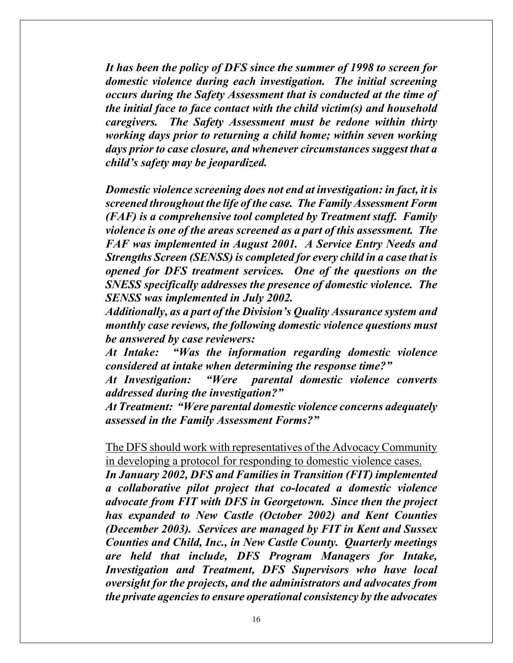*It has been the policy of DFS since the summer of 1998 to screen for domestic violence during each investigation. The initial screening occurs during the Safety Assessment that is conducted at the time of the initial face to face contact with the child victim(s) and household caregivers. The Safety Assessment must be redone within thirty working days prior to returning a child home; within seven working days prior to case closure, and whenever circumstances suggest that a child's safety may be jeopardized.* 

*Domestic violence screening does not end at investigation: in fact, it is screened throughout the life of the case. The Family Assessment Form (FAF) is a comprehensive tool completed by Treatment staff. Family violence is one of the areas screened as a part of this assessment. The FAF was implemented in August 2001. A Service Entry Needs and Strengths Screen (SENSS) is completed for every child in a case that is opened for DFS treatment services. One of the questions on the SNESS specifically addresses the presence of domestic violence. The SENSS was implemented in July 2002.* 

*Additionally, as a part of the Division's Quality Assurance system and monthly case reviews, the following domestic violence questions must be answered by case reviewers:* 

*At Intake: "Was the information regarding domestic violence considered at intake when determining the response time?"* 

*At Investigation: "Were parental domestic violence converts addressed during the investigation?"* 

*At Treatment: "Were parental domestic violence concerns adequately assessed in the Family Assessment Forms?"* 

The DFS should work with representatives of the Advocacy Community in developing a protocol for responding to domestic violence cases.

*In January 2002, DFS and Families in Transition (FIT) implemented a collaborative pilot project that co-located a domestic violence advocate from FIT with DFS in Georgetown. Since then the project has expanded to New Castle (October 2002) and Kent Counties (December 2003). Services are managed by FIT in Kent and Sussex Counties and Child, Inc., in New Castle County. Quarterly meetings are held that include, DFS Program Managers for Intake, Investigation and Treatment, DFS Supervisors who have local oversight for the projects, and the administrators and advocates from the private agencies to ensure operational consistency by the advocates*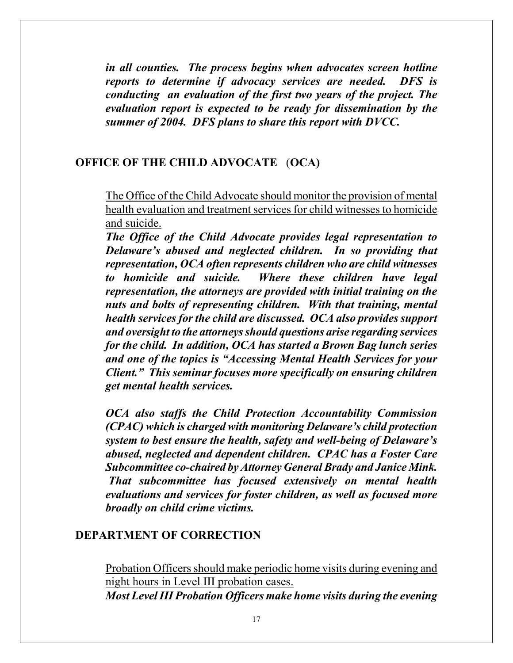*in all counties. The process begins when advocates screen hotline reports to determine if advocacy services are needed. DFS is conducting an evaluation of the first two years of the project. The evaluation report is expected to be ready for dissemination by the summer of 2004. DFS plans to share this report with DVCC.* 

#### **OFFICE OF THE CHILD ADVOCATE** (**OCA)**

The Office of the Child Advocate should monitor the provision of mental health evaluation and treatment services for child witnesses to homicide and suicide.

*The Office of the Child Advocate provides legal representation to Delaware's abused and neglected children. In so providing that representation, OCA often represents children who are child witnesses to homicide and suicide. Where these children have legal representation, the attorneys are provided with initial training on the nuts and bolts of representing children. With that training, mental health services for the child are discussed. OCA also provides support and oversight to the attorneys should questions arise regarding services for the child. In addition, OCA has started a Brown Bag lunch series and one of the topics is "Accessing Mental Health Services for your Client." This seminar focuses more specifically on ensuring children get mental health services.* 

*OCA also staffs the Child Protection Accountability Commission (CPAC) which is charged with monitoring Delaware's child protection system to best ensure the health, safety and well-being of Delaware's abused, neglected and dependent children. CPAC has a Foster Care Subcommittee co-chaired by Attorney General Brady and Janice Mink. That subcommittee has focused extensively on mental health evaluations and services for foster children, as well as focused more broadly on child crime victims.* 

#### **DEPARTMENT OF CORRECTION**

Probation Officers should make periodic home visits during evening and night hours in Level III probation cases. *Most Level III Probation Officers make home visits during the evening*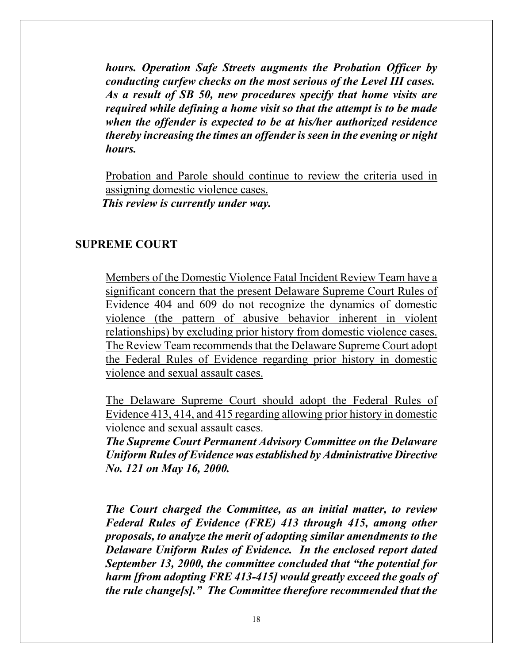*hours. Operation Safe Streets augments the Probation Officer by conducting curfew checks on the most serious of the Level III cases. As a result of SB 50, new procedures specify that home visits are required while defining a home visit so that the attempt is to be made when the offender is expected to be at his/her authorized residence thereby increasing the times an offender is seen in the evening or night hours.* 

Probation and Parole should continue to review the criteria used in assigning domestic violence cases. *This review is currently under way.* 

#### **SUPREME COURT**

Members of the Domestic Violence Fatal Incident Review Team have a significant concern that the present Delaware Supreme Court Rules of Evidence 404 and 609 do not recognize the dynamics of domestic violence (the pattern of abusive behavior inherent in violent relationships) by excluding prior history from domestic violence cases. The Review Team recommends that the Delaware Supreme Court adopt the Federal Rules of Evidence regarding prior history in domestic violence and sexual assault cases.

The Delaware Supreme Court should adopt the Federal Rules of Evidence 413, 414, and 415 regarding allowing prior history in domestic violence and sexual assault cases.

*The Supreme Court Permanent Advisory Committee on the Delaware Uniform Rules of Evidence was established by Administrative Directive No. 121 on May 16, 2000.* 

*The Court charged the Committee, as an initial matter, to review Federal Rules of Evidence (FRE) 413 through 415, among other proposals, to analyze the merit of adopting similar amendments to the Delaware Uniform Rules of Evidence. In the enclosed report dated September 13, 2000, the committee concluded that "the potential for harm [from adopting FRE 413-415] would greatly exceed the goals of the rule change[s]." The Committee therefore recommended that the*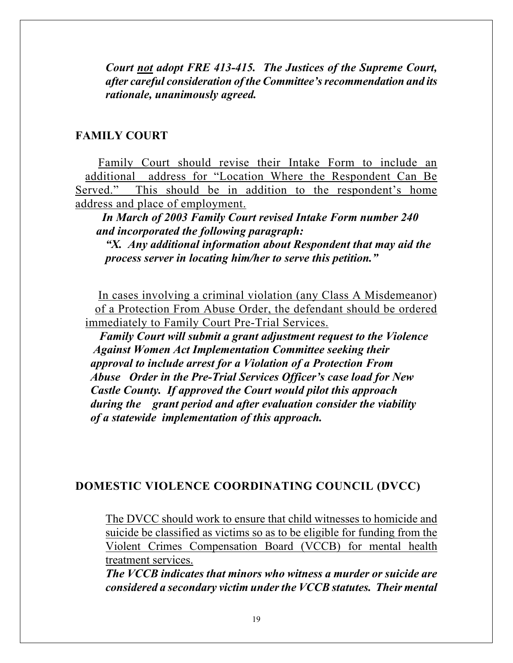*Court not adopt FRE 413-415. The Justices of the Supreme Court, after careful consideration of the Committee's recommendation and its rationale, unanimously agreed.* 

#### **FAMILY COURT**

 Family Court should revise their Intake Form to include an additional address for "Location Where the Respondent Can Be Served." This should be in addition to the respondent's home address and place of employment.

 *In March of 2003 Family Court revised Intake Form number 240 and incorporated the following paragraph:* 

*"X. Any additional information about Respondent that may aid the process server in locating him/her to serve this petition."* 

 In cases involving a criminal violation (any Class A Misdemeanor) of a Protection From Abuse Order, the defendant should be ordered immediately to Family Court Pre-Trial Services.

 *Family Court will submit a grant adjustment request to the Violence Against Women Act Implementation Committee seeking their approval to include arrest for a Violation of a Protection From Abuse Order in the Pre-Trial Services Officer's case load for New Castle County. If approved the Court would pilot this approach during the grant period and after evaluation consider the viability of a statewide implementation of this approach.* 

#### **DOMESTIC VIOLENCE COORDINATING COUNCIL (DVCC)**

The DVCC should work to ensure that child witnesses to homicide and suicide be classified as victims so as to be eligible for funding from the Violent Crimes Compensation Board (VCCB) for mental health treatment services.

*The VCCB indicates that minors who witness a murder or suicide are considered a secondary victim under the VCCB statutes. Their mental*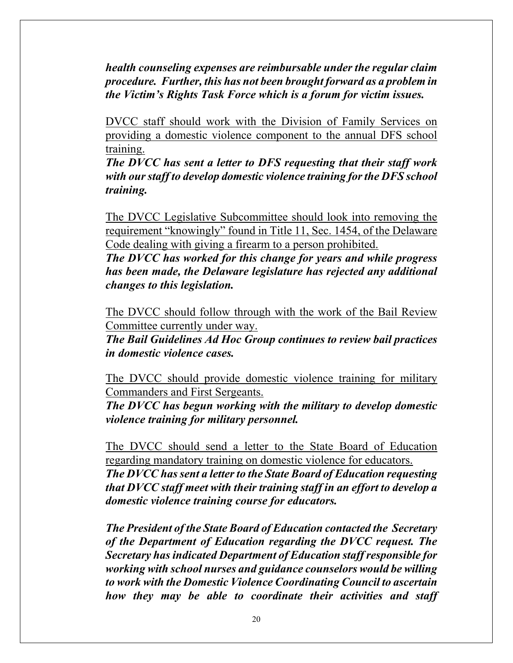*health counseling expenses are reimbursable under the regular claim procedure. Further, this has not been brought forward as a problem in the Victim's Rights Task Force which is a forum for victim issues.* 

DVCC staff should work with the Division of Family Services on providing a domestic violence component to the annual DFS school training.

*The DVCC has sent a letter to DFS requesting that their staff work with our staff to develop domestic violence training for the DFS school training.* 

The DVCC Legislative Subcommittee should look into removing the requirement "knowingly" found in Title 11, Sec. 1454, of the Delaware Code dealing with giving a firearm to a person prohibited.

*The DVCC has worked for this change for years and while progress has been made, the Delaware legislature has rejected any additional changes to this legislation.* 

The DVCC should follow through with the work of the Bail Review Committee currently under way.

*The Bail Guidelines Ad Hoc Group continues to review bail practices in domestic violence cases.* 

The DVCC should provide domestic violence training for military Commanders and First Sergeants.

*The DVCC has begun working with the military to develop domestic violence training for military personnel.* 

The DVCC should send a letter to the State Board of Education regarding mandatory training on domestic violence for educators.

*The DVCC has sent a letter to the State Board of Education requesting that DVCC staff meet with their training staff in an effort to develop a domestic violence training course for educators.* 

*The President of the State Board of Education contacted the Secretary of the Department of Education regarding the DVCC request. The Secretary has indicated Department of Education staff responsible for working with school nurses and guidance counselors would be willing to work with the Domestic Violence Coordinating Council to ascertain how they may be able to coordinate their activities and staff*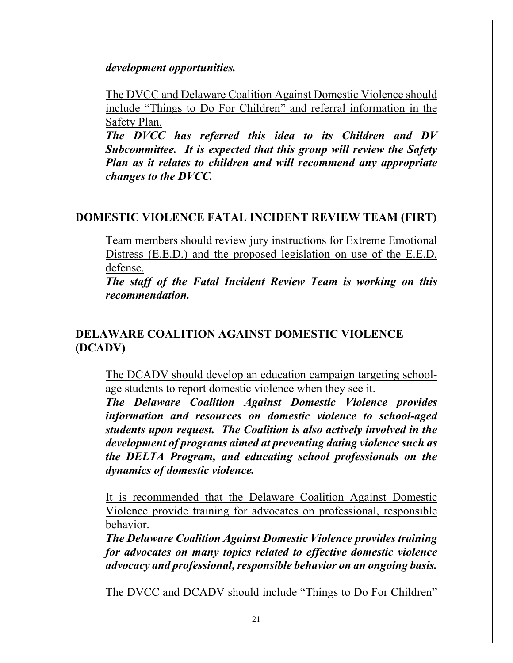*development opportunities.* 

The DVCC and Delaware Coalition Against Domestic Violence should include "Things to Do For Children" and referral information in the Safety Plan.

*The DVCC has referred this idea to its Children and DV Subcommittee. It is expected that this group will review the Safety Plan as it relates to children and will recommend any appropriate changes to the DVCC.* 

# **DOMESTIC VIOLENCE FATAL INCIDENT REVIEW TEAM (FIRT)**

Team members should review jury instructions for Extreme Emotional Distress (E.E.D.) and the proposed legislation on use of the E.E.D. defense.

*The staff of the Fatal Incident Review Team is working on this recommendation.* 

# **DELAWARE COALITION AGAINST DOMESTIC VIOLENCE (DCADV)**

The DCADV should develop an education campaign targeting schoolage students to report domestic violence when they see it.

*The Delaware Coalition Against Domestic Violence provides information and resources on domestic violence to school-aged students upon request. The Coalition is also actively involved in the development of programs aimed at preventing dating violence such as the DELTA Program, and educating school professionals on the dynamics of domestic violence.* 

It is recommended that the Delaware Coalition Against Domestic Violence provide training for advocates on professional, responsible behavior.

*The Delaware Coalition Against Domestic Violence provides training for advocates on many topics related to effective domestic violence advocacy and professional, responsible behavior on an ongoing basis.* 

The DVCC and DCADV should include "Things to Do For Children"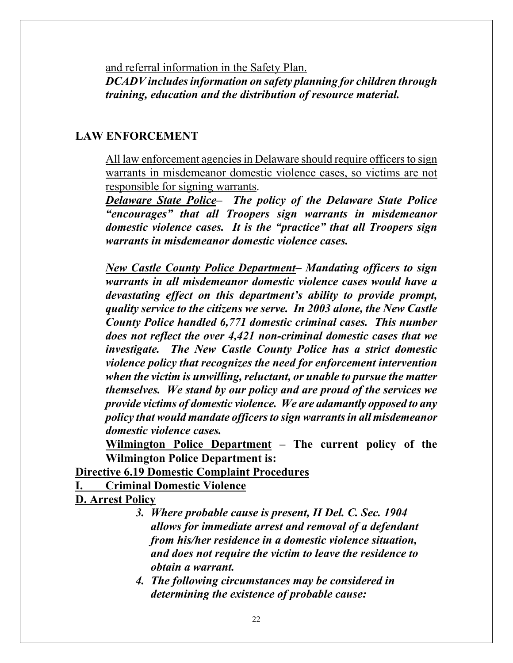and referral information in the Safety Plan. *DCADV includes information on safety planning for children through training, education and the distribution of resource material.* 

#### **LAW ENFORCEMENT**

All law enforcement agencies in Delaware should require officers to sign warrants in misdemeanor domestic violence cases, so victims are not responsible for signing warrants.

*Delaware State Police– The policy of the Delaware State Police "encourages" that all Troopers sign warrants in misdemeanor domestic violence cases. It is the "practice" that all Troopers sign warrants in misdemeanor domestic violence cases.* 

*New Castle County Police Department– Mandating officers to sign warrants in all misdemeanor domestic violence cases would have a devastating effect on this department's ability to provide prompt, quality service to the citizens we serve. In 2003 alone, the New Castle County Police handled 6,771 domestic criminal cases. This number does not reflect the over 4,421 non-criminal domestic cases that we investigate. The New Castle County Police has a strict domestic violence policy that recognizes the need for enforcement intervention when the victim is unwilling, reluctant, or unable to pursue the matter themselves. We stand by our policy and are proud of the services we provide victims of domestic violence. We are adamantly opposed to any policy that would mandate officers to sign warrants in all misdemeanor domestic violence cases.* 

**Wilmington Police Department – The current policy of the Wilmington Police Department is:** 

**Directive 6.19 Domestic Complaint Procedures**

**I. Criminal Domestic Violence**

**D. Arrest Policy**

- *3. Where probable cause is present, II Del. C. Sec. 1904 allows for immediate arrest and removal of a defendant from his/her residence in a domestic violence situation, and does not require the victim to leave the residence to obtain a warrant.*
- *4. The following circumstances may be considered in determining the existence of probable cause:*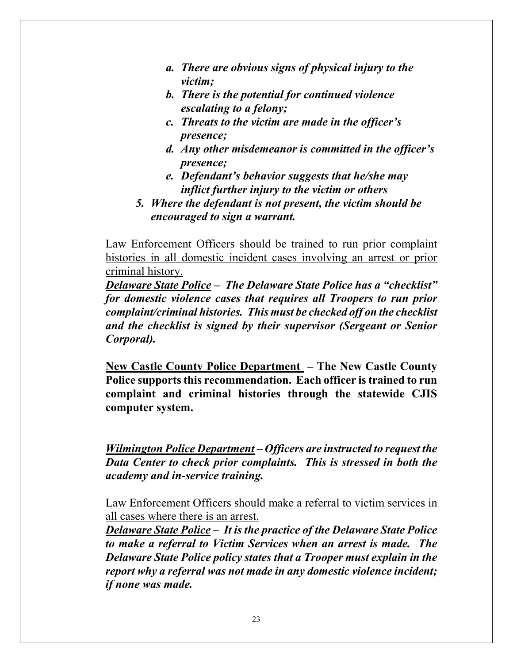- *a. There are obvious signs of physical injury to the victim;*
- *b. There is the potential for continued violence escalating to a felony;*
- *c. Threats to the victim are made in the officer's presence;*
- *d. Any other misdemeanor is committed in the officer's presence;*
- *e. Defendant's behavior suggests that he/she may inflict further injury to the victim or others*
- *5. Where the defendant is not present, the victim should be encouraged to sign a warrant.*

Law Enforcement Officers should be trained to run prior complaint histories in all domestic incident cases involving an arrest or prior criminal history.

*Delaware State Police – The Delaware State Police has a "checklist" for domestic violence cases that requires all Troopers to run prior complaint/criminal histories. This must be checked off on the checklist and the checklist is signed by their supervisor (Sergeant or Senior Corporal).* 

**New Castle County Police Department – The New Castle County Police supports this recommendation. Each officer is trained to run complaint and criminal histories through the statewide CJIS computer system.** 

*Wilmington Police Department – Officers are instructed to request the Data Center to check prior complaints. This is stressed in both the academy and in-service training.* 

Law Enforcement Officers should make a referral to victim services in all cases where there is an arrest.

*Delaware State Police – It is the practice of the Delaware State Police to make a referral to Victim Services when an arrest is made. The Delaware State Police policy states that a Trooper must explain in the report why a referral was not made in any domestic violence incident; if none was made.*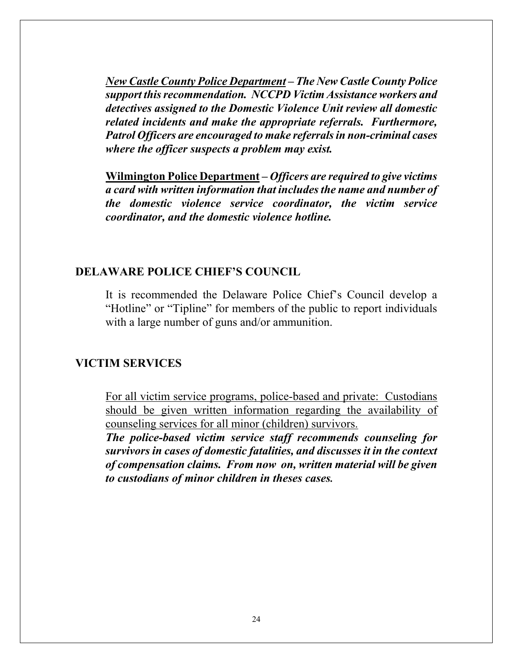*New Castle County Police Department – The New Castle County Police support this recommendation. NCCPD Victim Assistance workers and detectives assigned to the Domestic Violence Unit review all domestic related incidents and make the appropriate referrals. Furthermore, Patrol Officers are encouraged to make referrals in non-criminal cases where the officer suspects a problem may exist.* 

**Wilmington Police Department –** *Officers are required to give victims a card with written information that includes the name and number of the domestic violence service coordinator, the victim service coordinator, and the domestic violence hotline.* 

#### **DELAWARE POLICE CHIEF'S COUNCIL**

It is recommended the Delaware Police Chief's Council develop a "Hotline" or "Tipline" for members of the public to report individuals with a large number of guns and/or ammunition.

#### **VICTIM SERVICES**

For all victim service programs, police-based and private: Custodians should be given written information regarding the availability of counseling services for all minor (children) survivors.

*The police-based victim service staff recommends counseling for survivors in cases of domestic fatalities, and discusses it in the context of compensation claims. From now on, written material will be given to custodians of minor children in theses cases.*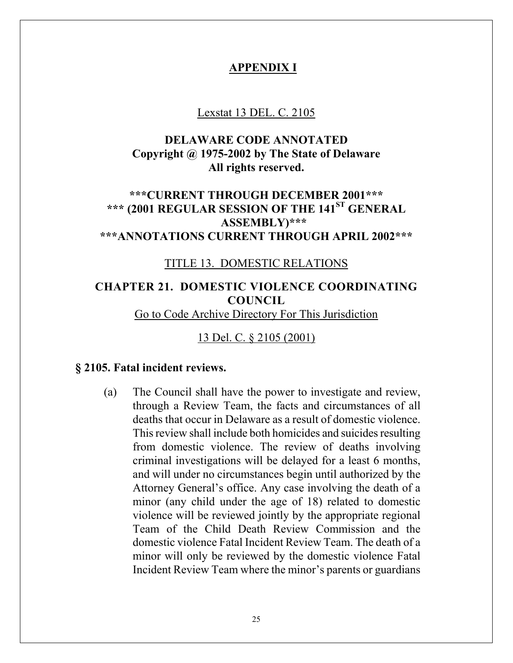## **APPENDIX I**

#### Lexstat 13 DEL. C. 2105

# **DELAWARE CODE ANNOTATED Copyright @ 1975-2002 by The State of Delaware All rights reserved.**

# **\*\*\*CURRENT THROUGH DECEMBER 2001\*\*\* \*\*\* (2001 REGULAR SESSION OF THE 141ST GENERAL ASSEMBLY)\*\*\* \*\*\*ANNOTATIONS CURRENT THROUGH APRIL 2002\*\*\***

#### TITLE 13. DOMESTIC RELATIONS

# **CHAPTER 21. DOMESTIC VIOLENCE COORDINATING COUNCIL**

Go to Code Archive Directory For This Jurisdiction

# 13 Del. C. § 2105 (2001)

#### **§ 2105. Fatal incident reviews.**

(a) The Council shall have the power to investigate and review, through a Review Team, the facts and circumstances of all deaths that occur in Delaware as a result of domestic violence. This review shall include both homicides and suicides resulting from domestic violence. The review of deaths involving criminal investigations will be delayed for a least 6 months, and will under no circumstances begin until authorized by the Attorney General's office. Any case involving the death of a minor (any child under the age of 18) related to domestic violence will be reviewed jointly by the appropriate regional Team of the Child Death Review Commission and the domestic violence Fatal Incident Review Team. The death of a minor will only be reviewed by the domestic violence Fatal Incident Review Team where the minor's parents or guardians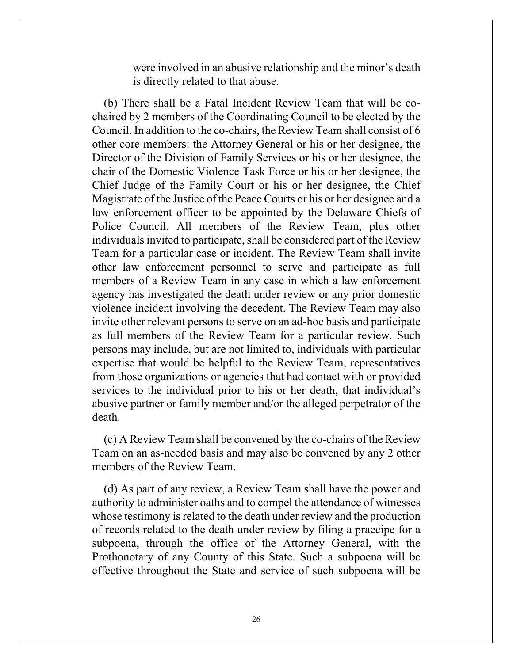were involved in an abusive relationship and the minor's death is directly related to that abuse.

(b) There shall be a Fatal Incident Review Team that will be cochaired by 2 members of the Coordinating Council to be elected by the Council. In addition to the co-chairs, the Review Team shall consist of 6 other core members: the Attorney General or his or her designee, the Director of the Division of Family Services or his or her designee, the chair of the Domestic Violence Task Force or his or her designee, the Chief Judge of the Family Court or his or her designee, the Chief Magistrate of the Justice of the Peace Courts or his or her designee and a law enforcement officer to be appointed by the Delaware Chiefs of Police Council. All members of the Review Team, plus other individuals invited to participate, shall be considered part of the Review Team for a particular case or incident. The Review Team shall invite other law enforcement personnel to serve and participate as full members of a Review Team in any case in which a law enforcement agency has investigated the death under review or any prior domestic violence incident involving the decedent. The Review Team may also invite other relevant persons to serve on an ad-hoc basis and participate as full members of the Review Team for a particular review. Such persons may include, but are not limited to, individuals with particular expertise that would be helpful to the Review Team, representatives from those organizations or agencies that had contact with or provided services to the individual prior to his or her death, that individual's abusive partner or family member and/or the alleged perpetrator of the death.

(c) A Review Team shall be convened by the co-chairs of the Review Team on an as-needed basis and may also be convened by any 2 other members of the Review Team.

(d) As part of any review, a Review Team shall have the power and authority to administer oaths and to compel the attendance of witnesses whose testimony is related to the death under review and the production of records related to the death under review by filing a praecipe for a subpoena, through the office of the Attorney General, with the Prothonotary of any County of this State. Such a subpoena will be effective throughout the State and service of such subpoena will be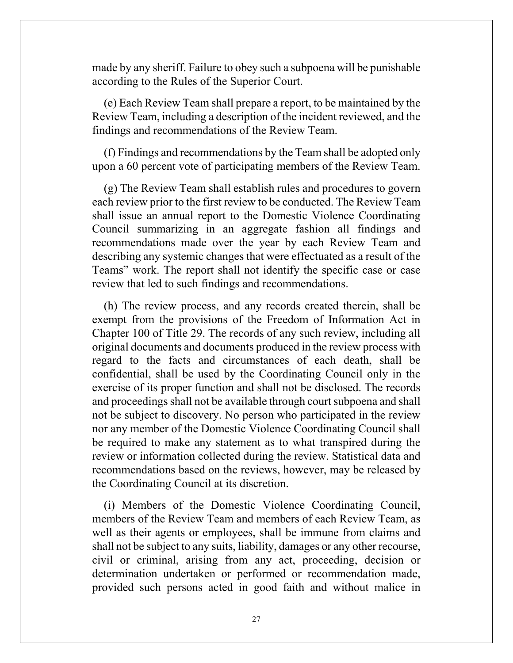made by any sheriff. Failure to obey such a subpoena will be punishable according to the Rules of the Superior Court.

(e) Each Review Team shall prepare a report, to be maintained by the Review Team, including a description of the incident reviewed, and the findings and recommendations of the Review Team.

(f) Findings and recommendations by the Team shall be adopted only upon a 60 percent vote of participating members of the Review Team.

(g) The Review Team shall establish rules and procedures to govern each review prior to the first review to be conducted. The Review Team shall issue an annual report to the Domestic Violence Coordinating Council summarizing in an aggregate fashion all findings and recommendations made over the year by each Review Team and describing any systemic changes that were effectuated as a result of the Teams" work. The report shall not identify the specific case or case review that led to such findings and recommendations.

(h) The review process, and any records created therein, shall be exempt from the provisions of the Freedom of Information Act in Chapter 100 of Title 29. The records of any such review, including all original documents and documents produced in the review process with regard to the facts and circumstances of each death, shall be confidential, shall be used by the Coordinating Council only in the exercise of its proper function and shall not be disclosed. The records and proceedings shall not be available through court subpoena and shall not be subject to discovery. No person who participated in the review nor any member of the Domestic Violence Coordinating Council shall be required to make any statement as to what transpired during the review or information collected during the review. Statistical data and recommendations based on the reviews, however, may be released by the Coordinating Council at its discretion.

(i) Members of the Domestic Violence Coordinating Council, members of the Review Team and members of each Review Team, as well as their agents or employees, shall be immune from claims and shall not be subject to any suits, liability, damages or any other recourse, civil or criminal, arising from any act, proceeding, decision or determination undertaken or performed or recommendation made, provided such persons acted in good faith and without malice in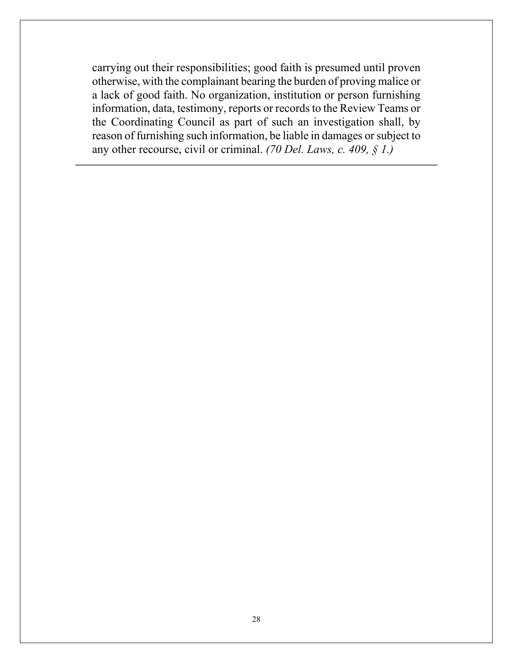carrying out their responsibilities; good faith is presumed until proven otherwise, with the complainant bearing the burden of proving malice or a lack of good faith. No organization, institution or person furnishing information, data, testimony, reports or records to the Review Teams or the Coordinating Council as part of such an investigation shall, by reason of furnishing such information, be liable in damages or subject to any other recourse, civil or criminal. *(70 Del. Laws, c. 409, § 1.)*